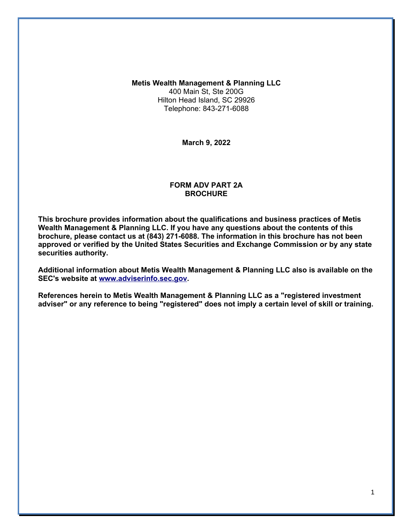**Metis Wealth Management & Planning LLC** 400 Main St, Ste 200G Hilton Head Island, SC 29926 Telephone: 843-271-6088

**March 9, 2022**

#### **FORM ADV PART 2A BROCHURE**

**This brochure provides information about the qualifications and business practices of Metis Wealth Management & Planning LLC. If you have any questions about the contents of this brochure, please contact us at (843) 271-6088. The information in this brochure has not been approved or verified by the United States Securities and Exchange Commission or by any state securities authority.**

**Additional information about Metis Wealth Management & Planning LLC also is available on the SEC's website at [www.adviserinfo.sec.gov.](http://www.adviserinfo.sec.gov/)**

**References herein to Metis Wealth Management & Planning LLC as a "registered investment adviser" or any reference to being "registered" does not imply a certain level of skill or training.**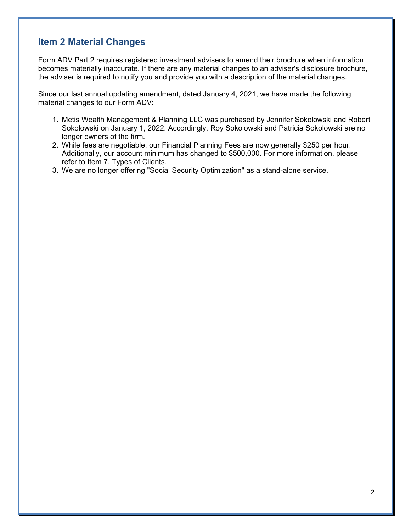# **Item 2 Material Changes**

Form ADV Part 2 requires registered investment advisers to amend their brochure when information becomes materially inaccurate. If there are any material changes to an adviser's disclosure brochure, the adviser is required to notify you and provide you with a description of the material changes.

Since our last annual updating amendment, dated January 4, 2021, we have made the following material changes to our Form ADV:

- 1. Metis Wealth Management & Planning LLC was purchased by Jennifer Sokolowski and Robert Sokolowski on January 1, 2022. Accordingly, Roy Sokolowski and Patricia Sokolowski are no longer owners of the firm.
- 2. While fees are negotiable, our Financial Planning Fees are now generally \$250 per hour. Additionally, our account minimum has changed to \$500,000. For more information, please refer to Item 7. Types of Clients.
- 3. We are no longer offering "Social Security Optimization" as a stand-alone service.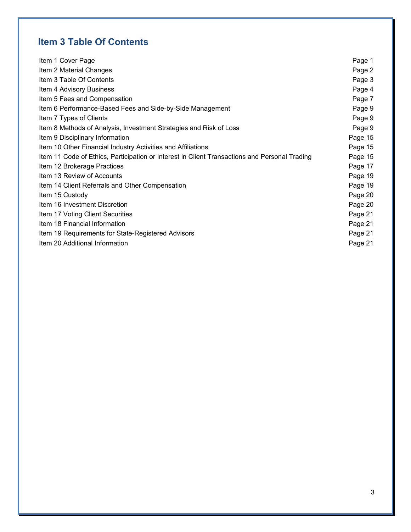# **Item 3 Table Of Contents**

| Item 1 Cover Page                                                                             | Page 1  |
|-----------------------------------------------------------------------------------------------|---------|
| Item 2 Material Changes                                                                       | Page 2  |
| Item 3 Table Of Contents                                                                      | Page 3  |
| Item 4 Advisory Business                                                                      | Page 4  |
| Item 5 Fees and Compensation                                                                  | Page 7  |
| Item 6 Performance-Based Fees and Side-by-Side Management                                     | Page 9  |
| Item 7 Types of Clients                                                                       | Page 9  |
| Item 8 Methods of Analysis, Investment Strategies and Risk of Loss                            | Page 9  |
| Item 9 Disciplinary Information                                                               | Page 15 |
| Item 10 Other Financial Industry Activities and Affiliations                                  | Page 15 |
| Item 11 Code of Ethics, Participation or Interest in Client Transactions and Personal Trading | Page 15 |
| Item 12 Brokerage Practices                                                                   | Page 17 |
| Item 13 Review of Accounts                                                                    | Page 19 |
| Item 14 Client Referrals and Other Compensation                                               | Page 19 |
| Item 15 Custody                                                                               | Page 20 |
| Item 16 Investment Discretion                                                                 | Page 20 |
| Item 17 Voting Client Securities                                                              | Page 21 |
| Item 18 Financial Information                                                                 | Page 21 |
| Item 19 Requirements for State-Registered Advisors                                            | Page 21 |
| Item 20 Additional Information                                                                | Page 21 |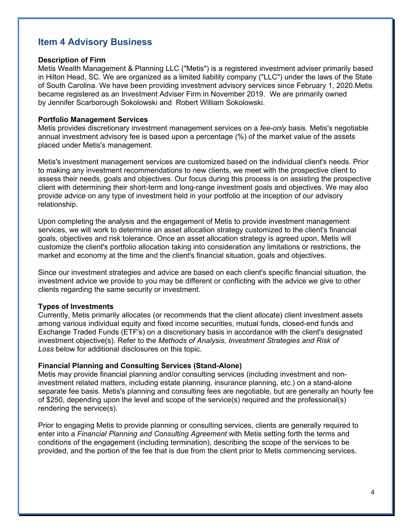# **Item 4 Advisory Business**

#### **Description of Firm**

Metis Wealth Management & Planning LLC ("Metis") is a registered investment adviser primarily based in Hilton Head, SC. We are organized as a limited liability company ("LLC") under the laws of the State of South Carolina. We have been providing investment advisory services since February 1, 2020.Metis became registered as an Investment Adviser Firm in November 2019. We are primarily owned by Jennifer Scarborough Sokolowski and Robert William Sokolowski.

#### **Portfolio Management Services**

Metis provides discretionary investment management services on a *fee-only* basis. Metis's negotiable annual investment advisory fee is based upon a percentage (%) of the market value of the assets placed under Metis's management.

Metis's investment management services are customized based on the individual client's needs. Prior to making any investment recommendations to new clients, we meet with the prospective client to assess their needs, goals and objectives. Our focus during this process is on assisting the prospective client with determining their short-term and long-range investment goals and objectives. We may also provide advice on any type of investment held in your portfolio at the inception of our advisory relationship.

Upon completing the analysis and the engagement of Metis to provide investment management services, we will work to determine an asset allocation strategy customized to the client's financial goals, objectives and risk tolerance. Once an asset allocation strategy is agreed upon, Metis will customize the client's portfolio allocation taking into consideration any limitations or restrictions, the market and economy at the time and the client's financial situation, goals and objectives.

Since our investment strategies and advice are based on each client's specific financial situation, the investment advice we provide to you may be different or conflicting with the advice we give to other clients regarding the same security or investment.

#### **Types of Investments**

Currently, Metis primarily allocates (or recommends that the client allocate) client investment assets among various individual equity and fixed income securities, mutual funds, closed-end funds and Exchange Traded Funds (ETF's) on a discretionary basis in accordance with the client's designated investment objective(s). Refer to the *Methods of Analysis, Investment Strategies and Risk of Loss* below for additional disclosures on this topic.

#### **Financial Planning and Consulting Services (Stand-Alone)**

Metis may provide financial planning and/or consulting services (including investment and noninvestment related matters, including estate planning, insurance planning, etc.) on a stand-alone separate fee basis. Metis's planning and consulting fees are negotiable, but are generally an hourly fee of \$250, depending upon the level and scope of the service(s) required and the professional(s) rendering the service(s).

Prior to engaging Metis to provide planning or consulting services, clients are generally required to enter into a *Financial Planning and Consulting Agreement* with Metis setting forth the terms and conditions of the engagement (including termination), describing the scope of the services to be provided, and the portion of the fee that is due from the client prior to Metis commencing services.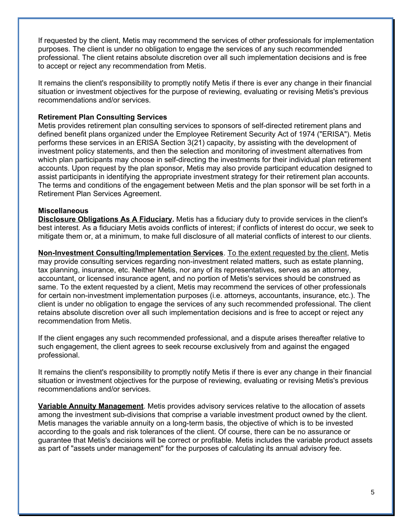If requested by the client, Metis may recommend the services of other professionals for implementation purposes. The client is under no obligation to engage the services of any such recommended professional. The client retains absolute discretion over all such implementation decisions and is free to accept or reject any recommendation from Metis.

It remains the client's responsibility to promptly notify Metis if there is ever any change in their financial situation or investment objectives for the purpose of reviewing, evaluating or revising Metis's previous recommendations and/or services.

### **Retirement Plan Consulting Services**

Metis provides retirement plan consulting services to sponsors of self-directed retirement plans and defined benefit plans organized under the Employee Retirement Security Act of 1974 ("ERISA"). Metis performs these services in an ERISA Section 3(21) capacity, by assisting with the development of investment policy statements, and then the selection and monitoring of investment alternatives from which plan participants may choose in self-directing the investments for their individual plan retirement accounts. Upon request by the plan sponsor, Metis may also provide participant education designed to assist participants in identifying the appropriate investment strategy for their retirement plan accounts. The terms and conditions of the engagement between Metis and the plan sponsor will be set forth in a Retirement Plan Services Agreement.

### **Miscellaneous**

**Disclosure Obligations As A Fiduciary.** Metis has a fiduciary duty to provide services in the client's best interest. As a fiduciary Metis avoids conflicts of interest; if conflicts of interest do occur, we seek to mitigate them or, at a minimum, to make full disclosure of all material conflicts of interest to our clients.

**Non-Investment Consulting/Implementation Services**. To the extent requested by the client, Metis may provide consulting services regarding non-investment related matters, such as estate planning, tax planning, insurance, etc. Neither Metis, nor any of its representatives, serves as an attorney, accountant, or licensed insurance agent, and no portion of Metis's services should be construed as same. To the extent requested by a client, Metis may recommend the services of other professionals for certain non-investment implementation purposes (i.e. attorneys, accountants, insurance, etc.). The client is under no obligation to engage the services of any such recommended professional. The client retains absolute discretion over all such implementation decisions and is free to accept or reject any recommendation from Metis.

If the client engages any such recommended professional, and a dispute arises thereafter relative to such engagement, the client agrees to seek recourse exclusively from and against the engaged professional.

It remains the client's responsibility to promptly notify Metis if there is ever any change in their financial situation or investment objectives for the purpose of reviewing, evaluating or revising Metis's previous recommendations and/or services.

**Variable Annuity Management**. Metis provides advisory services relative to the allocation of assets among the investment sub-divisions that comprise a variable investment product owned by the client. Metis manages the variable annuity on a long-term basis, the objective of which is to be invested according to the goals and risk tolerances of the client. Of course, there can be no assurance or guarantee that Metis's decisions will be correct or profitable. Metis includes the variable product assets as part of "assets under management" for the purposes of calculating its annual advisory fee.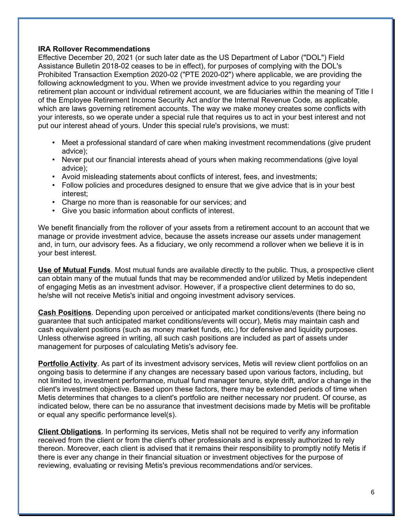### **IRA Rollover Recommendations**

Effective December 20, 2021 (or such later date as the US Department of Labor ("DOL") Field Assistance Bulletin 2018-02 ceases to be in effect), for purposes of complying with the DOL's Prohibited Transaction Exemption 2020-02 ("PTE 2020-02") where applicable, we are providing the following acknowledgment to you. When we provide investment advice to you regarding your retirement plan account or individual retirement account, we are fiduciaries within the meaning of Title I of the Employee Retirement Income Security Act and/or the Internal Revenue Code, as applicable, which are laws governing retirement accounts. The way we make money creates some conflicts with your interests, so we operate under a special rule that requires us to act in your best interest and not put our interest ahead of yours. Under this special rule's provisions, we must:

- Meet a professional standard of care when making investment recommendations (give prudent advice);
- Never put our financial interests ahead of yours when making recommendations (give loyal advice);
- Avoid misleading statements about conflicts of interest, fees, and investments;
- Follow policies and procedures designed to ensure that we give advice that is in your best interest;
- Charge no more than is reasonable for our services; and
- Give you basic information about conflicts of interest.

We benefit financially from the rollover of your assets from a retirement account to an account that we manage or provide investment advice, because the assets increase our assets under management and, in turn, our advisory fees. As a fiduciary, we only recommend a rollover when we believe it is in your best interest.

**Use of Mutual Funds**. Most mutual funds are available directly to the public. Thus, a prospective client can obtain many of the mutual funds that may be recommended and/or utilized by Metis independent of engaging Metis as an investment advisor. However, if a prospective client determines to do so, he/she will not receive Metis's initial and ongoing investment advisory services.

**Cash Positions**. Depending upon perceived or anticipated market conditions/events (there being no guarantee that such anticipated market conditions/events will occur), Metis may maintain cash and cash equivalent positions (such as money market funds, etc.) for defensive and liquidity purposes. Unless otherwise agreed in writing, all such cash positions are included as part of assets under management for purposes of calculating Metis's advisory fee.

**Portfolio Activity**. As part of its investment advisory services, Metis will review client portfolios on an ongoing basis to determine if any changes are necessary based upon various factors, including, but not limited to, investment performance, mutual fund manager tenure, style drift, and/or a change in the client's investment objective. Based upon these factors, there may be extended periods of time when Metis determines that changes to a client's portfolio are neither necessary nor prudent. Of course, as indicated below, there can be no assurance that investment decisions made by Metis will be profitable or equal any specific performance level(s).

**Client Obligations**. In performing its services, Metis shall not be required to verify any information received from the client or from the client's other professionals and is expressly authorized to rely thereon. Moreover, each client is advised that it remains their responsibility to promptly notify Metis if there is ever any change in their financial situation or investment objectives for the purpose of reviewing, evaluating or revising Metis's previous recommendations and/or services.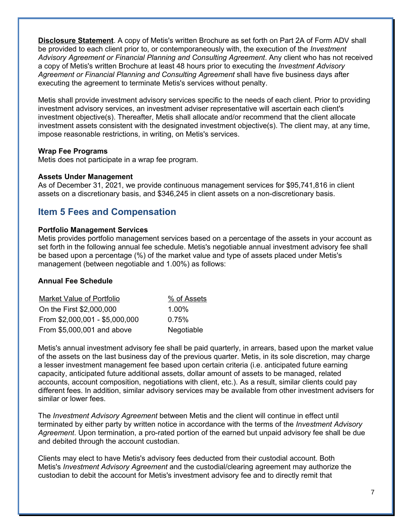**Disclosure Statement**. A copy of Metis's written Brochure as set forth on Part 2A of Form ADV shall be provided to each client prior to, or contemporaneously with, the execution of the *Investment Advisory Agreement or Financial Planning and Consulting Agreement*. Any client who has not received a copy of Metis's written Brochure at least 48 hours prior to executing the *Investment Advisory Agreement or Financial Planning and Consulting Agreement* shall have five business days after executing the agreement to terminate Metis's services without penalty.

Metis shall provide investment advisory services specific to the needs of each client. Prior to providing investment advisory services, an investment adviser representative will ascertain each client's investment objective(s). Thereafter, Metis shall allocate and/or recommend that the client allocate investment assets consistent with the designated investment objective(s). The client may, at any time, impose reasonable restrictions, in writing, on Metis's services.

#### **Wrap Fee Programs**

Metis does not participate in a wrap fee program.

#### **Assets Under Management**

As of December 31, 2021, we provide continuous management services for \$95,741,816 in client assets on a discretionary basis, and \$346,245 in client assets on a non-discretionary basis.

## **Item 5 Fees and Compensation**

#### **Portfolio Management Services**

Metis provides portfolio management services based on a percentage of the assets in your account as set forth in the following annual fee schedule. Metis's negotiable annual investment advisory fee shall be based upon a percentage (%) of the market value and type of assets placed under Metis's management (between negotiable and 1.00%) as follows:

#### **Annual Fee Schedule**

| <b>Market Value of Portfolio</b> | % of Assets |
|----------------------------------|-------------|
| On the First \$2,000,000         | $1.00\%$    |
| From \$2,000,001 - \$5,000,000   | 0.75%       |
| From \$5,000,001 and above       | Negotiable  |

Metis's annual investment advisory fee shall be paid quarterly, in arrears, based upon the market value of the assets on the last business day of the previous quarter. Metis, in its sole discretion, may charge a lesser investment management fee based upon certain criteria (i.e. anticipated future earning capacity, anticipated future additional assets, dollar amount of assets to be managed, related accounts, account composition, negotiations with client, etc.). As a result, similar clients could pay different fees. In addition, similar advisory services may be available from other investment advisers for similar or lower fees.

The *Investment Advisory Agreement* between Metis and the client will continue in effect until terminated by either party by written notice in accordance with the terms of the *Investment Advisory Agreement*. Upon termination, a pro-rated portion of the earned but unpaid advisory fee shall be due and debited through the account custodian.

Clients may elect to have Metis's advisory fees deducted from their custodial account. Both Metis's *Investment Advisory Agreement* and the custodial/clearing agreement may authorize the custodian to debit the account for Metis's investment advisory fee and to directly remit that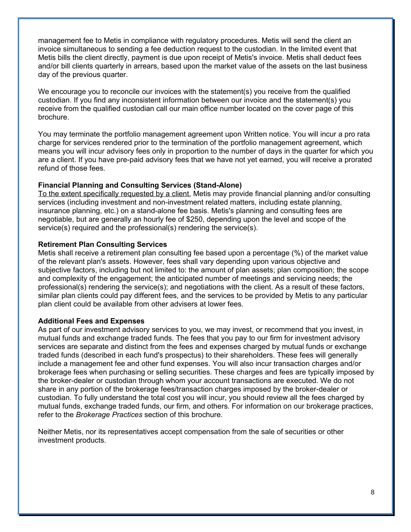management fee to Metis in compliance with regulatory procedures. Metis will send the client an invoice simultaneous to sending a fee deduction request to the custodian. In the limited event that Metis bills the client directly, payment is due upon receipt of Metis's invoice. Metis shall deduct fees and/or bill clients quarterly in arrears, based upon the market value of the assets on the last business day of the previous quarter.

We encourage you to reconcile our invoices with the statement(s) you receive from the qualified custodian. If you find any inconsistent information between our invoice and the statement(s) you receive from the qualified custodian call our main office number located on the cover page of this brochure.

You may terminate the portfolio management agreement upon Written notice. You will incur a pro rata charge for services rendered prior to the termination of the portfolio management agreement, which means you will incur advisory fees only in proportion to the number of days in the quarter for which you are a client. If you have pre-paid advisory fees that we have not yet earned, you will receive a prorated refund of those fees.

### **Financial Planning and Consulting Services (Stand-Alone)**

To the extent specifically requested by a client, Metis may provide financial planning and/or consulting services (including investment and non-investment related matters, including estate planning, insurance planning, etc.) on a stand-alone fee basis. Metis's planning and consulting fees are negotiable, but are generally an hourly fee of \$250, depending upon the level and scope of the service(s) required and the professional(s) rendering the service(s).

#### **Retirement Plan Consulting Services**

Metis shall receive a retirement plan consulting fee based upon a percentage (%) of the market value of the relevant plan's assets. However, fees shall vary depending upon various objective and subjective factors, including but not limited to: the amount of plan assets; plan composition; the scope and complexity of the engagement; the anticipated number of meetings and servicing needs; the professional(s) rendering the service(s); and negotiations with the client. As a result of these factors, similar plan clients could pay different fees, and the services to be provided by Metis to any particular plan client could be available from other advisers at lower fees.

#### **Additional Fees and Expenses**

As part of our investment advisory services to you, we may invest, or recommend that you invest, in mutual funds and exchange traded funds. The fees that you pay to our firm for investment advisory services are separate and distinct from the fees and expenses charged by mutual funds or exchange traded funds (described in each fund's prospectus) to their shareholders. These fees will generally include a management fee and other fund expenses. You will also incur transaction charges and/or brokerage fees when purchasing or selling securities. These charges and fees are typically imposed by the broker-dealer or custodian through whom your account transactions are executed. We do not share in any portion of the brokerage fees/transaction charges imposed by the broker-dealer or custodian. To fully understand the total cost you will incur, you should review all the fees charged by mutual funds, exchange traded funds, our firm, and others. For information on our brokerage practices, refer to the *Brokerage Practices* section of this brochure.

Neither Metis, nor its representatives accept compensation from the sale of securities or other investment products.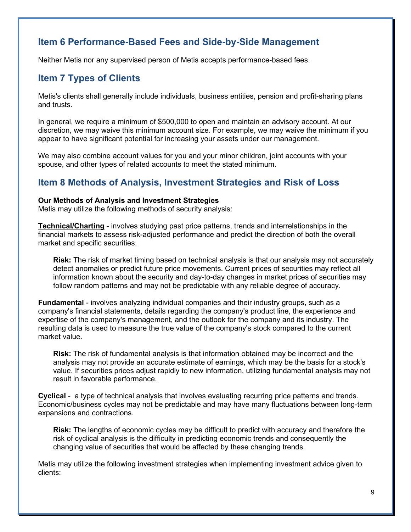# **Item 6 Performance-Based Fees and Side-by-Side Management**

Neither Metis nor any supervised person of Metis accepts performance-based fees.

# **Item 7 Types of Clients**

Metis's clients shall generally include individuals, business entities, pension and profit-sharing plans and trusts.

In general, we require a minimum of \$500,000 to open and maintain an advisory account. At our discretion, we may waive this minimum account size. For example, we may waive the minimum if you appear to have significant potential for increasing your assets under our management.

We may also combine account values for you and your minor children, joint accounts with your spouse, and other types of related accounts to meet the stated minimum.

# **Item 8 Methods of Analysis, Investment Strategies and Risk of Loss**

### **Our Methods of Analysis and Investment Strategies**

Metis may utilize the following methods of security analysis:

**Technical/Charting** - involves studying past price patterns, trends and interrelationships in the financial markets to assess risk-adjusted performance and predict the direction of both the overall market and specific securities.

**Risk:** The risk of market timing based on technical analysis is that our analysis may not accurately detect anomalies or predict future price movements. Current prices of securities may reflect all information known about the security and day-to-day changes in market prices of securities may follow random patterns and may not be predictable with any reliable degree of accuracy.

**Fundamental** - involves analyzing individual companies and their industry groups, such as a company's financial statements, details regarding the company's product line, the experience and expertise of the company's management, and the outlook for the company and its industry. The resulting data is used to measure the true value of the company's stock compared to the current market value.

**Risk:** The risk of fundamental analysis is that information obtained may be incorrect and the analysis may not provide an accurate estimate of earnings, which may be the basis for a stock's value. If securities prices adjust rapidly to new information, utilizing fundamental analysis may not result in favorable performance.

**Cyclical** - a type of technical analysis that involves evaluating recurring price patterns and trends. Economic/business cycles may not be predictable and may have many fluctuations between long-term expansions and contractions.

**Risk:** The lengths of economic cycles may be difficult to predict with accuracy and therefore the risk of cyclical analysis is the difficulty in predicting economic trends and consequently the changing value of securities that would be affected by these changing trends.

Metis may utilize the following investment strategies when implementing investment advice given to clients: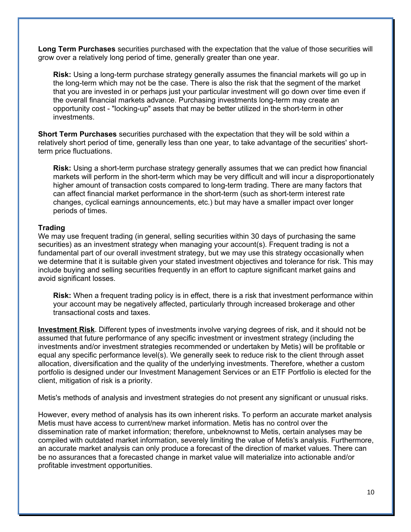**Long Term Purchases** securities purchased with the expectation that the value of those securities will grow over a relatively long period of time, generally greater than one year.

**Risk:** Using a long-term purchase strategy generally assumes the financial markets will go up in the long-term which may not be the case. There is also the risk that the segment of the market that you are invested in or perhaps just your particular investment will go down over time even if the overall financial markets advance. Purchasing investments long-term may create an opportunity cost - "locking-up" assets that may be better utilized in the short-term in other investments.

**Short Term Purchases** securities purchased with the expectation that they will be sold within a relatively short period of time, generally less than one year, to take advantage of the securities' shortterm price fluctuations.

**Risk:** Using a short-term purchase strategy generally assumes that we can predict how financial markets will perform in the short-term which may be very difficult and will incur a disproportionately higher amount of transaction costs compared to long-term trading. There are many factors that can affect financial market performance in the short-term (such as short-term interest rate changes, cyclical earnings announcements, etc.) but may have a smaller impact over longer periods of times.

### **Trading**

We may use frequent trading (in general, selling securities within 30 days of purchasing the same securities) as an investment strategy when managing your account(s). Frequent trading is not a fundamental part of our overall investment strategy, but we may use this strategy occasionally when we determine that it is suitable given your stated investment objectives and tolerance for risk. This may include buying and selling securities frequently in an effort to capture significant market gains and avoid significant losses.

**Risk:** When a frequent trading policy is in effect, there is a risk that investment performance within your account may be negatively affected, particularly through increased brokerage and other transactional costs and taxes.

**Investment Risk**. Different types of investments involve varying degrees of risk, and it should not be assumed that future performance of any specific investment or investment strategy (including the investments and/or investment strategies recommended or undertaken by Metis) will be profitable or equal any specific performance level(s). We generally seek to reduce risk to the client through asset allocation, diversification and the quality of the underlying investments. Therefore, whether a custom portfolio is designed under our Investment Management Services or an ETF Portfolio is elected for the client, mitigation of risk is a priority.

Metis's methods of analysis and investment strategies do not present any significant or unusual risks.

However, every method of analysis has its own inherent risks. To perform an accurate market analysis Metis must have access to current/new market information. Metis has no control over the dissemination rate of market information; therefore, unbeknownst to Metis, certain analyses may be compiled with outdated market information, severely limiting the value of Metis's analysis. Furthermore, an accurate market analysis can only produce a forecast of the direction of market values. There can be no assurances that a forecasted change in market value will materialize into actionable and/or profitable investment opportunities.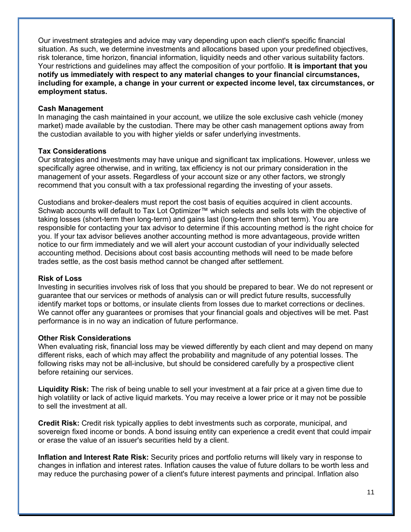Our investment strategies and advice may vary depending upon each client's specific financial situation. As such, we determine investments and allocations based upon your predefined objectives, risk tolerance, time horizon, financial information, liquidity needs and other various suitability factors. Your restrictions and guidelines may affect the composition of your portfolio. **It is important that you notify us immediately with respect to any material changes to your financial circumstances, including for example, a change in your current or expected income level, tax circumstances, or employment status.**

#### **Cash Management**

In managing the cash maintained in your account, we utilize the sole exclusive cash vehicle (money market) made available by the custodian. There may be other cash management options away from the custodian available to you with higher yields or safer underlying investments.

## **Tax Considerations**

Our strategies and investments may have unique and significant tax implications. However, unless we specifically agree otherwise, and in writing, tax efficiency is not our primary consideration in the management of your assets. Regardless of your account size or any other factors, we strongly recommend that you consult with a tax professional regarding the investing of your assets.

Custodians and broker-dealers must report the cost basis of equities acquired in client accounts. Schwab accounts will default to Tax Lot Optimizer™ which selects and sells lots with the objective of taking losses (short-term then long-term) and gains last (long-term then short term). You are responsible for contacting your tax advisor to determine if this accounting method is the right choice for you. If your tax advisor believes another accounting method is more advantageous, provide written notice to our firm immediately and we will alert your account custodian of your individually selected accounting method. Decisions about cost basis accounting methods will need to be made before trades settle, as the cost basis method cannot be changed after settlement.

#### **Risk of Loss**

Investing in securities involves risk of loss that you should be prepared to bear. We do not represent or guarantee that our services or methods of analysis can or will predict future results, successfully identify market tops or bottoms, or insulate clients from losses due to market corrections or declines. We cannot offer any guarantees or promises that your financial goals and objectives will be met. Past performance is in no way an indication of future performance.

## **Other Risk Considerations**

When evaluating risk, financial loss may be viewed differently by each client and may depend on many different risks, each of which may affect the probability and magnitude of any potential losses. The following risks may not be all-inclusive, but should be considered carefully by a prospective client before retaining our services.

**Liquidity Risk:** The risk of being unable to sell your investment at a fair price at a given time due to high volatility or lack of active liquid markets. You may receive a lower price or it may not be possible to sell the investment at all.

**Credit Risk:** Credit risk typically applies to debt investments such as corporate, municipal, and sovereign fixed income or bonds. A bond issuing entity can experience a credit event that could impair or erase the value of an issuer's securities held by a client.

**Inflation and Interest Rate Risk:** Security prices and portfolio returns will likely vary in response to changes in inflation and interest rates. Inflation causes the value of future dollars to be worth less and may reduce the purchasing power of a client's future interest payments and principal. Inflation also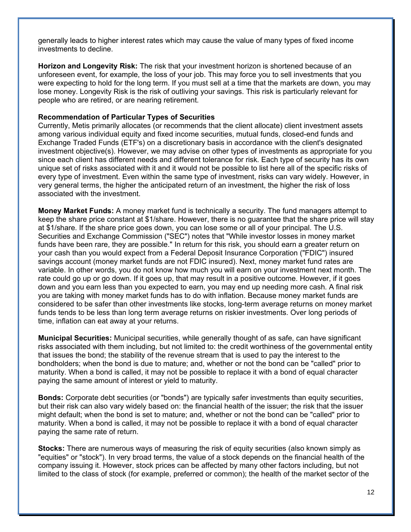generally leads to higher interest rates which may cause the value of many types of fixed income investments to decline.

**Horizon and Longevity Risk:** The risk that your investment horizon is shortened because of an unforeseen event, for example, the loss of your job. This may force you to sell investments that you were expecting to hold for the long term. If you must sell at a time that the markets are down, you may lose money. Longevity Risk is the risk of outliving your savings. This risk is particularly relevant for people who are retired, or are nearing retirement.

#### **Recommendation of Particular Types of Securities**

Currently, Metis primarily allocates (or recommends that the client allocate) client investment assets among various individual equity and fixed income securities, mutual funds, closed-end funds and Exchange Traded Funds (ETF's) on a discretionary basis in accordance with the client's designated investment objective(s). However, we may advise on other types of investments as appropriate for you since each client has different needs and different tolerance for risk. Each type of security has its own unique set of risks associated with it and it would not be possible to list here all of the specific risks of every type of investment. Even within the same type of investment, risks can vary widely. However, in very general terms, the higher the anticipated return of an investment, the higher the risk of loss associated with the investment.

**Money Market Funds:** A money market fund is technically a security. The fund managers attempt to keep the share price constant at \$1/share. However, there is no guarantee that the share price will stay at \$1/share. If the share price goes down, you can lose some or all of your principal. The U.S. Securities and Exchange Commission ("SEC") notes that "While investor losses in money market funds have been rare, they are possible." In return for this risk, you should earn a greater return on your cash than you would expect from a Federal Deposit Insurance Corporation ("FDIC") insured savings account (money market funds are not FDIC insured). Next, money market fund rates are variable. In other words, you do not know how much you will earn on your investment next month. The rate could go up or go down. If it goes up, that may result in a positive outcome. However, if it goes down and you earn less than you expected to earn, you may end up needing more cash. A final risk you are taking with money market funds has to do with inflation. Because money market funds are considered to be safer than other investments like stocks, long-term average returns on money market funds tends to be less than long term average returns on riskier investments. Over long periods of time, inflation can eat away at your returns.

**Municipal Securities:** Municipal securities, while generally thought of as safe, can have significant risks associated with them including, but not limited to: the credit worthiness of the governmental entity that issues the bond; the stability of the revenue stream that is used to pay the interest to the bondholders; when the bond is due to mature; and, whether or not the bond can be "called" prior to maturity. When a bond is called, it may not be possible to replace it with a bond of equal character paying the same amount of interest or yield to maturity.

**Bonds:** Corporate debt securities (or "bonds") are typically safer investments than equity securities, but their risk can also vary widely based on: the financial health of the issuer; the risk that the issuer might default; when the bond is set to mature; and, whether or not the bond can be "called" prior to maturity. When a bond is called, it may not be possible to replace it with a bond of equal character paying the same rate of return.

**Stocks:** There are numerous ways of measuring the risk of equity securities (also known simply as "equities" or "stock"). In very broad terms, the value of a stock depends on the financial health of the company issuing it. However, stock prices can be affected by many other factors including, but not limited to the class of stock (for example, preferred or common); the health of the market sector of the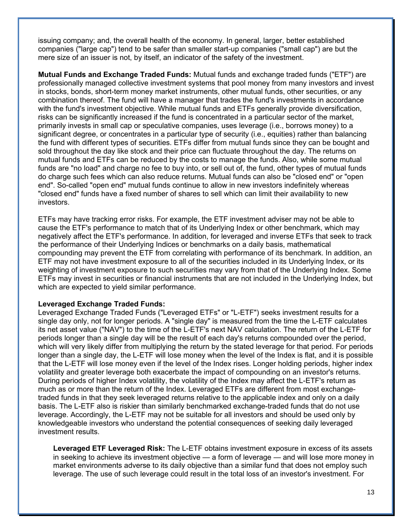issuing company; and, the overall health of the economy. In general, larger, better established companies ("large cap") tend to be safer than smaller start-up companies ("small cap") are but the mere size of an issuer is not, by itself, an indicator of the safety of the investment.

**Mutual Funds and Exchange Traded Funds:** Mutual funds and exchange traded funds ("ETF") are professionally managed collective investment systems that pool money from many investors and invest in stocks, bonds, short-term money market instruments, other mutual funds, other securities, or any combination thereof. The fund will have a manager that trades the fund's investments in accordance with the fund's investment objective. While mutual funds and ETFs generally provide diversification, risks can be significantly increased if the fund is concentrated in a particular sector of the market, primarily invests in small cap or speculative companies, uses leverage (i.e., borrows money) to a significant degree, or concentrates in a particular type of security (i.e., equities) rather than balancing the fund with different types of securities. ETFs differ from mutual funds since they can be bought and sold throughout the day like stock and their price can fluctuate throughout the day. The returns on mutual funds and ETFs can be reduced by the costs to manage the funds. Also, while some mutual funds are "no load" and charge no fee to buy into, or sell out of, the fund, other types of mutual funds do charge such fees which can also reduce returns. Mutual funds can also be "closed end" or "open end". So-called "open end" mutual funds continue to allow in new investors indefinitely whereas "closed end" funds have a fixed number of shares to sell which can limit their availability to new investors.

ETFs may have tracking error risks. For example, the ETF investment adviser may not be able to cause the ETF's performance to match that of its Underlying Index or other benchmark, which may negatively affect the ETF's performance. In addition, for leveraged and inverse ETFs that seek to track the performance of their Underlying Indices or benchmarks on a daily basis, mathematical compounding may prevent the ETF from correlating with performance of its benchmark. In addition, an ETF may not have investment exposure to all of the securities included in its Underlying Index, or its weighting of investment exposure to such securities may vary from that of the Underlying Index. Some ETFs may invest in securities or financial instruments that are not included in the Underlying Index, but which are expected to yield similar performance.

#### **Leveraged Exchange Traded Funds:**

Leveraged Exchange Traded Funds ("Leveraged ETFs" or "L-ETF") seeks investment results for a single day only, not for longer periods. A "single day" is measured from the time the L-ETF calculates its net asset value ("NAV") to the time of the L-ETF's next NAV calculation. The return of the L-ETF for periods longer than a single day will be the result of each day's returns compounded over the period, which will very likely differ from multiplying the return by the stated leverage for that period. For periods longer than a single day, the L-ETF will lose money when the level of the Index is flat, and it is possible that the L-ETF will lose money even if the level of the Index rises. Longer holding periods, higher index volatility and greater leverage both exacerbate the impact of compounding on an investor's returns. During periods of higher Index volatility, the volatility of the Index may affect the L-ETF's return as much as or more than the return of the Index. Leveraged ETFs are different from most exchangetraded funds in that they seek leveraged returns relative to the applicable index and only on a daily basis. The L-ETF also is riskier than similarly benchmarked exchange-traded funds that do not use leverage. Accordingly, the L-ETF may not be suitable for all investors and should be used only by knowledgeable investors who understand the potential consequences of seeking daily leveraged investment results.

**Leveraged ETF Leveraged Risk:** The L-ETF obtains investment exposure in excess of its assets in seeking to achieve its investment objective — a form of leverage — and will lose more money in market environments adverse to its daily objective than a similar fund that does not employ such leverage. The use of such leverage could result in the total loss of an investor's investment. For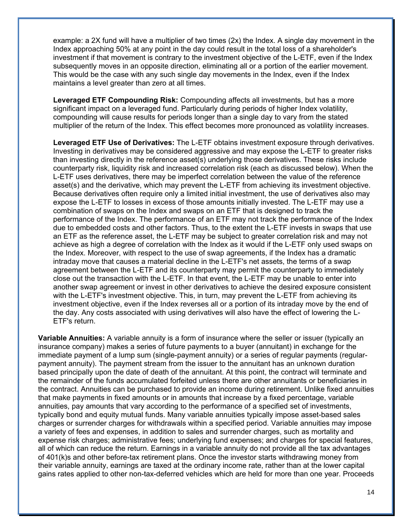example: a 2X fund will have a multiplier of two times (2x) the Index. A single day movement in the Index approaching 50% at any point in the day could result in the total loss of a shareholder's investment if that movement is contrary to the investment objective of the L-ETF, even if the Index subsequently moves in an opposite direction, eliminating all or a portion of the earlier movement. This would be the case with any such single day movements in the Index, even if the Index maintains a level greater than zero at all times.

**Leveraged ETF Compounding Risk:** Compounding affects all investments, but has a more significant impact on a leveraged fund. Particularly during periods of higher Index volatility, compounding will cause results for periods longer than a single day to vary from the stated multiplier of the return of the Index. This effect becomes more pronounced as volatility increases.

**Leveraged ETF Use of Derivatives:** The L-ETF obtains investment exposure through derivatives. Investing in derivatives may be considered aggressive and may expose the L-ETF to greater risks than investing directly in the reference asset(s) underlying those derivatives. These risks include counterparty risk, liquidity risk and increased correlation risk (each as discussed below). When the L-ETF uses derivatives, there may be imperfect correlation between the value of the reference asset(s) and the derivative, which may prevent the L-ETF from achieving its investment objective. Because derivatives often require only a limited initial investment, the use of derivatives also may expose the L-ETF to losses in excess of those amounts initially invested. The L-ETF may use a combination of swaps on the Index and swaps on an ETF that is designed to track the performance of the Index. The performance of an ETF may not track the performance of the Index due to embedded costs and other factors. Thus, to the extent the L-ETF invests in swaps that use an ETF as the reference asset, the L-ETF may be subject to greater correlation risk and may not achieve as high a degree of correlation with the Index as it would if the L-ETF only used swaps on the Index. Moreover, with respect to the use of swap agreements, if the Index has a dramatic intraday move that causes a material decline in the L-ETF's net assets, the terms of a swap agreement between the L-ETF and its counterparty may permit the counterparty to immediately close out the transaction with the L-ETF. In that event, the L-ETF may be unable to enter into another swap agreement or invest in other derivatives to achieve the desired exposure consistent with the L-ETF's investment objective. This, in turn, may prevent the L-ETF from achieving its investment objective, even if the Index reverses all or a portion of its intraday move by the end of the day. Any costs associated with using derivatives will also have the effect of lowering the L-ETF's return.

**Variable Annuities:** A variable annuity is a form of insurance where the seller or issuer (typically an insurance company) makes a series of future payments to a buyer (annuitant) in exchange for the immediate payment of a lump sum (single-payment annuity) or a series of regular payments (regularpayment annuity). The payment stream from the issuer to the annuitant has an unknown duration based principally upon the date of death of the annuitant. At this point, the contract will terminate and the remainder of the funds accumulated forfeited unless there are other annuitants or beneficiaries in the contract. Annuities can be purchased to provide an income during retirement. Unlike fixed annuities that make payments in fixed amounts or in amounts that increase by a fixed percentage, variable annuities, pay amounts that vary according to the performance of a specified set of investments, typically bond and equity mutual funds. Many variable annuities typically impose asset-based sales charges or surrender charges for withdrawals within a specified period. Variable annuities may impose a variety of fees and expenses, in addition to sales and surrender charges, such as mortality and expense risk charges; administrative fees; underlying fund expenses; and charges for special features, all of which can reduce the return. Earnings in a variable annuity do not provide all the tax advantages of 401(k)s and other before-tax retirement plans. Once the investor starts withdrawing money from their variable annuity, earnings are taxed at the ordinary income rate, rather than at the lower capital gains rates applied to other non-tax-deferred vehicles which are held for more than one year. Proceeds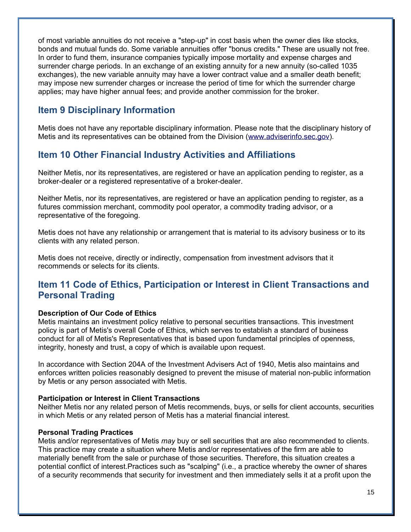of most variable annuities do not receive a "step-up" in cost basis when the owner dies like stocks, bonds and mutual funds do. Some variable annuities offer "bonus credits." These are usually not free. In order to fund them, insurance companies typically impose mortality and expense charges and surrender charge periods. In an exchange of an existing annuity for a new annuity (so-called 1035 exchanges), the new variable annuity may have a lower contract value and a smaller death benefit; may impose new surrender charges or increase the period of time for which the surrender charge applies; may have higher annual fees; and provide another commission for the broker.

# **Item 9 Disciplinary Information**

Metis does not have any reportable disciplinary information. Please note that the disciplinary history of Metis and its representatives can be obtained from the Division [\(www.adviserinfo.sec.gov\)](http://www.adviserinfo.sec.gov/).

# **Item 10 Other Financial Industry Activities and Affiliations**

Neither Metis, nor its representatives, are registered or have an application pending to register, as a broker-dealer or a registered representative of a broker-dealer.

Neither Metis, nor its representatives, are registered or have an application pending to register, as a futures commission merchant, commodity pool operator, a commodity trading advisor, or a representative of the foregoing.

Metis does not have any relationship or arrangement that is material to its advisory business or to its clients with any related person.

Metis does not receive, directly or indirectly, compensation from investment advisors that it recommends or selects for its clients.

# **Item 11 Code of Ethics, Participation or Interest in Client Transactions and Personal Trading**

## **Description of Our Code of Ethics**

Metis maintains an investment policy relative to personal securities transactions. This investment policy is part of Metis's overall Code of Ethics, which serves to establish a standard of business conduct for all of Metis's Representatives that is based upon fundamental principles of openness, integrity, honesty and trust, a copy of which is available upon request.

In accordance with Section 204A of the Investment Advisers Act of 1940, Metis also maintains and enforces written policies reasonably designed to prevent the misuse of material non-public information by Metis or any person associated with Metis.

#### **Participation or Interest in Client Transactions**

Neither Metis nor any related person of Metis recommends, buys, or sells for client accounts, securities in which Metis or any related person of Metis has a material financial interest.

## **Personal Trading Practices**

Metis and/or representatives of Metis *may* buy or sell securities that are also recommended to clients. This practice may create a situation where Metis and/or representatives of the firm are able to materially benefit from the sale or purchase of those securities. Therefore, this situation creates a potential conflict of interest.Practices such as "scalping" (i.e., a practice whereby the owner of shares of a security recommends that security for investment and then immediately sells it at a profit upon the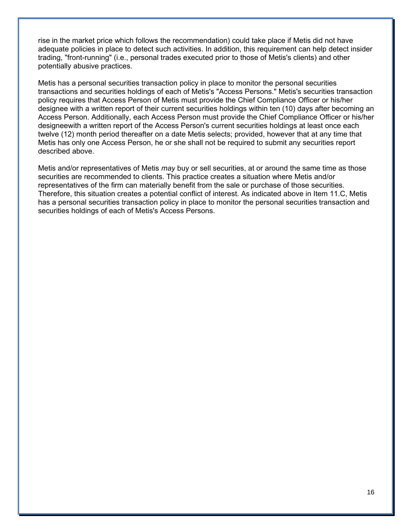rise in the market price which follows the recommendation) could take place if Metis did not have adequate policies in place to detect such activities. In addition, this requirement can help detect insider trading, "front-running" (i.e., personal trades executed prior to those of Metis's clients) and other potentially abusive practices.

Metis has a personal securities transaction policy in place to monitor the personal securities transactions and securities holdings of each of Metis's "Access Persons." Metis's securities transaction policy requires that Access Person of Metis must provide the Chief Compliance Officer or his/her designee with a written report of their current securities holdings within ten (10) days after becoming an Access Person. Additionally, each Access Person must provide the Chief Compliance Officer or his/her designeewith a written report of the Access Person's current securities holdings at least once each twelve (12) month period thereafter on a date Metis selects; provided, however that at any time that Metis has only one Access Person, he or she shall not be required to submit any securities report described above.

Metis and/or representatives of Metis *may* buy or sell securities, at or around the same time as those securities are recommended to clients. This practice creates a situation where Metis and/or representatives of the firm can materially benefit from the sale or purchase of those securities. Therefore, this situation creates a potential conflict of interest. As indicated above in Item 11.C, Metis has a personal securities transaction policy in place to monitor the personal securities transaction and securities holdings of each of Metis's Access Persons.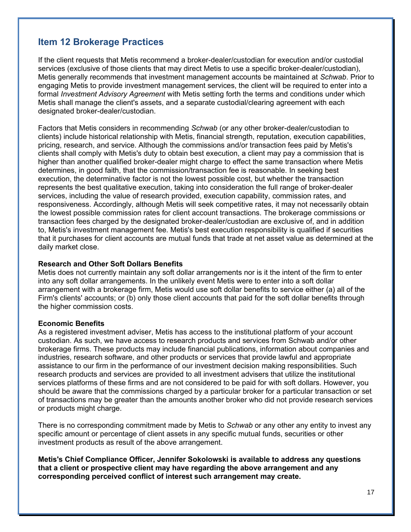# **Item 12 Brokerage Practices**

If the client requests that Metis recommend a broker-dealer/custodian for execution and/or custodial services (exclusive of those clients that may direct Metis to use a specific broker-dealer/custodian), Metis generally recommends that investment management accounts be maintained at *Schwab*. Prior to engaging Metis to provide investment management services, the client will be required to enter into a formal *Investment Advisory Agreement* with Metis setting forth the terms and conditions under which Metis shall manage the client's assets, and a separate custodial/clearing agreement with each designated broker-dealer/custodian.

Factors that Metis considers in recommending *Schwab* (or any other broker-dealer/custodian to clients) include historical relationship with Metis, financial strength, reputation, execution capabilities, pricing, research, and service. Although the commissions and/or transaction fees paid by Metis's clients shall comply with Metis's duty to obtain best execution, a client may pay a commission that is higher than another qualified broker-dealer might charge to effect the same transaction where Metis determines, in good faith, that the commission/transaction fee is reasonable. In seeking best execution, the determinative factor is not the lowest possible cost, but whether the transaction represents the best qualitative execution, taking into consideration the full range of broker-dealer services, including the value of research provided, execution capability, commission rates, and responsiveness. Accordingly, although Metis will seek competitive rates, it may not necessarily obtain the lowest possible commission rates for client account transactions. The brokerage commissions or transaction fees charged by the designated broker-dealer/custodian are exclusive of, and in addition to, Metis's investment management fee. Metis's best execution responsibility is qualified if securities that it purchases for client accounts are mutual funds that trade at net asset value as determined at the daily market close.

#### **Research and Other Soft Dollars Benefits**

Metis does not currently maintain any soft dollar arrangements nor is it the intent of the firm to enter into any soft dollar arrangements. In the unlikely event Metis were to enter into a soft dollar arrangement with a brokerage firm, Metis would use soft dollar benefits to service either (a) all of the Firm's clients' accounts; or (b) only those client accounts that paid for the soft dollar benefits through the higher commission costs.

#### **Economic Benefits**

As a registered investment adviser, Metis has access to the institutional platform of your account custodian. As such, we have access to research products and services from Schwab and/or other brokerage firms. These products may include financial publications, information about companies and industries, research software, and other products or services that provide lawful and appropriate assistance to our firm in the performance of our investment decision making responsibilities. Such research products and services are provided to all investment advisers that utilize the institutional services platforms of these firms and are not considered to be paid for with soft dollars. However, you should be aware that the commissions charged by a particular broker for a particular transaction or set of transactions may be greater than the amounts another broker who did not provide research services or products might charge.

There is no corresponding commitment made by Metis to *Schwab* or any other any entity to invest any specific amount or percentage of client assets in any specific mutual funds, securities or other investment products as result of the above arrangement.

**Metis's Chief Compliance Officer, Jennifer Sokolowski is available to address any questions that a client or prospective client may have regarding the above arrangement and any corresponding perceived conflict of interest such arrangement may create.**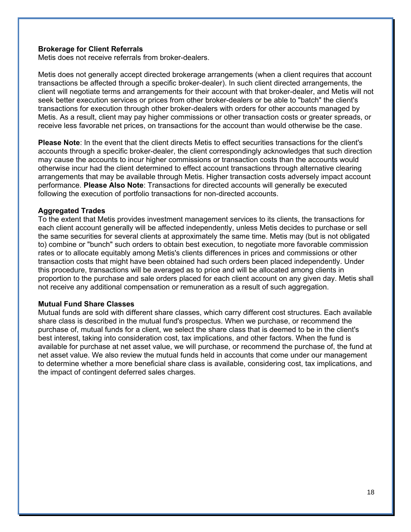#### **Brokerage for Client Referrals**

Metis does not receive referrals from broker-dealers.

Metis does not generally accept directed brokerage arrangements (when a client requires that account transactions be affected through a specific broker-dealer). In such client directed arrangements, the client will negotiate terms and arrangements for their account with that broker-dealer, and Metis will not seek better execution services or prices from other broker-dealers or be able to "batch" the client's transactions for execution through other broker-dealers with orders for other accounts managed by Metis. As a result, client may pay higher commissions or other transaction costs or greater spreads, or receive less favorable net prices, on transactions for the account than would otherwise be the case.

**Please Note**: In the event that the client directs Metis to effect securities transactions for the client's accounts through a specific broker-dealer, the client correspondingly acknowledges that such direction may cause the accounts to incur higher commissions or transaction costs than the accounts would otherwise incur had the client determined to effect account transactions through alternative clearing arrangements that may be available through Metis. Higher transaction costs adversely impact account performance. **Please Also Note**: Transactions for directed accounts will generally be executed following the execution of portfolio transactions for non-directed accounts.

#### **Aggregated Trades**

To the extent that Metis provides investment management services to its clients, the transactions for each client account generally will be affected independently, unless Metis decides to purchase or sell the same securities for several clients at approximately the same time. Metis may (but is not obligated to) combine or "bunch" such orders to obtain best execution, to negotiate more favorable commission rates or to allocate equitably among Metis's clients differences in prices and commissions or other transaction costs that might have been obtained had such orders been placed independently. Under this procedure, transactions will be averaged as to price and will be allocated among clients in proportion to the purchase and sale orders placed for each client account on any given day. Metis shall not receive any additional compensation or remuneration as a result of such aggregation.

#### **Mutual Fund Share Classes**

Mutual funds are sold with different share classes, which carry different cost structures. Each available share class is described in the mutual fund's prospectus. When we purchase, or recommend the purchase of, mutual funds for a client, we select the share class that is deemed to be in the client's best interest, taking into consideration cost, tax implications, and other factors. When the fund is available for purchase at net asset value, we will purchase, or recommend the purchase of, the fund at net asset value. We also review the mutual funds held in accounts that come under our management to determine whether a more beneficial share class is available, considering cost, tax implications, and the impact of contingent deferred sales charges.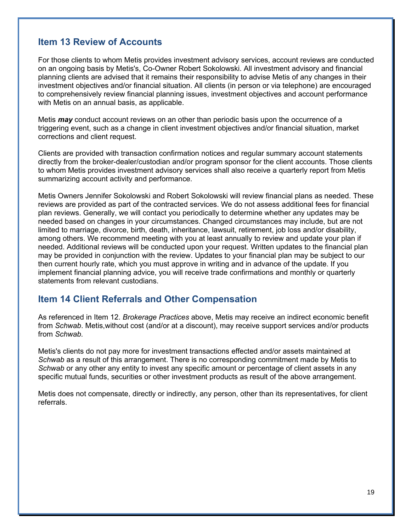## **Item 13 Review of Accounts**

For those clients to whom Metis provides investment advisory services, account reviews are conducted on an ongoing basis by Metis's, Co-Owner Robert Sokolowski. All investment advisory and financial planning clients are advised that it remains their responsibility to advise Metis of any changes in their investment objectives and/or financial situation. All clients (in person or via telephone) are encouraged to comprehensively review financial planning issues, investment objectives and account performance with Metis on an annual basis, as applicable.

Metis *may* conduct account reviews on an other than periodic basis upon the occurrence of a triggering event, such as a change in client investment objectives and/or financial situation, market corrections and client request.

Clients are provided with transaction confirmation notices and regular summary account statements directly from the broker-dealer/custodian and/or program sponsor for the client accounts. Those clients to whom Metis provides investment advisory services shall also receive a quarterly report from Metis summarizing account activity and performance.

Metis Owners Jennifer Sokolowski and Robert Sokolowski will review financial plans as needed. These reviews are provided as part of the contracted services. We do not assess additional fees for financial plan reviews. Generally, we will contact you periodically to determine whether any updates may be needed based on changes in your circumstances. Changed circumstances may include, but are not limited to marriage, divorce, birth, death, inheritance, lawsuit, retirement, job loss and/or disability, among others. We recommend meeting with you at least annually to review and update your plan if needed. Additional reviews will be conducted upon your request. Written updates to the financial plan may be provided in conjunction with the review. Updates to your financial plan may be subject to our then current hourly rate, which you must approve in writing and in advance of the update. If you implement financial planning advice, you will receive trade confirmations and monthly or quarterly statements from relevant custodians.

## **Item 14 Client Referrals and Other Compensation**

As referenced in Item 12. *Brokerage Practices* above, Metis may receive an indirect economic benefit from *Schwab*. Metis,without cost (and/or at a discount), may receive support services and/or products from *Schwab.* 

Metis's clients do not pay more for investment transactions effected and/or assets maintained at *Schwab* as a result of this arrangement. There is no corresponding commitment made by Metis to *Schwab* or any other any entity to invest any specific amount or percentage of client assets in any specific mutual funds, securities or other investment products as result of the above arrangement.

Metis does not compensate, directly or indirectly, any person, other than its representatives, for client referrals.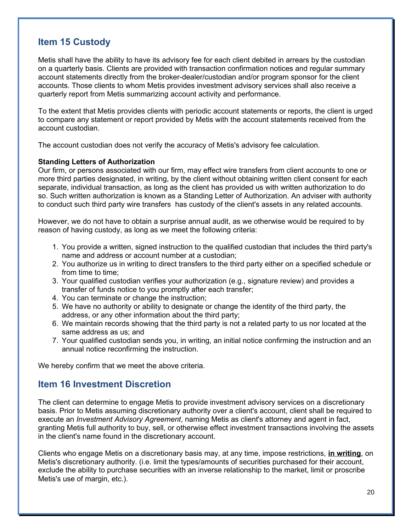# **Item 15 Custody**

Metis shall have the ability to have its advisory fee for each client debited in arrears by the custodian on a quarterly basis. Clients are provided with transaction confirmation notices and regular summary account statements directly from the broker-dealer/custodian and/or program sponsor for the client accounts. Those clients to whom Metis provides investment advisory services shall also receive a quarterly report from Metis summarizing account activity and performance.

To the extent that Metis provides clients with periodic account statements or reports, the client is urged to compare any statement or report provided by Metis with the account statements received from the account custodian.

The account custodian does not verify the accuracy of Metis's advisory fee calculation.

#### **Standing Letters of Authorization**

Our firm, or persons associated with our firm, may effect wire transfers from client accounts to one or more third parties designated, in writing, by the client without obtaining written client consent for each separate, individual transaction, as long as the client has provided us with written authorization to do so. Such written authorization is known as a Standing Letter of Authorization. An adviser with authority to conduct such third party wire transfers has custody of the client's assets in any related accounts.

However, we do not have to obtain a surprise annual audit, as we otherwise would be required to by reason of having custody, as long as we meet the following criteria:

- 1. You provide a written, signed instruction to the qualified custodian that includes the third party's name and address or account number at a custodian;
- 2. You authorize us in writing to direct transfers to the third party either on a specified schedule or from time to time;
- 3. Your qualified custodian verifies your authorization (e.g., signature review) and provides a transfer of funds notice to you promptly after each transfer;
- 4. You can terminate or change the instruction;
- 5. We have no authority or ability to designate or change the identity of the third party, the address, or any other information about the third party;
- 6. We maintain records showing that the third party is not a related party to us nor located at the same address as us; and
- 7. Your qualified custodian sends you, in writing, an initial notice confirming the instruction and an annual notice reconfirming the instruction.

We hereby confirm that we meet the above criteria.

## **Item 16 Investment Discretion**

The client can determine to engage Metis to provide investment advisory services on a discretionary basis. Prior to Metis assuming discretionary authority over a client's account, client shall be required to execute an *Investment Advisory Agreement*, naming Metis as client's attorney and agent in fact, granting Metis full authority to buy, sell, or otherwise effect investment transactions involving the assets in the client's name found in the discretionary account.

Clients who engage Metis on a discretionary basis may, at any time, impose restrictions, **in writing**, on Metis's discretionary authority. (i.e. limit the types/amounts of securities purchased for their account, exclude the ability to purchase securities with an inverse relationship to the market, limit or proscribe Metis's use of margin, etc.).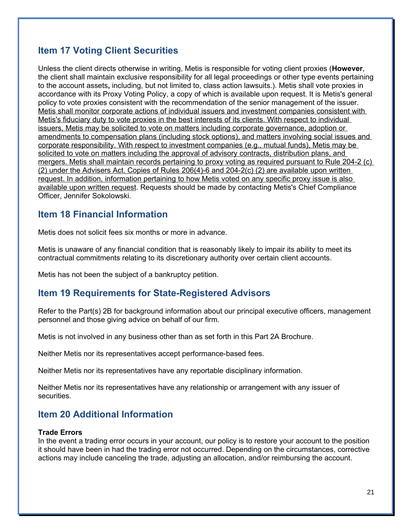# **Item 17 Voting Client Securities**

Unless the client directs otherwise in writing, Metis is responsible for voting client proxies (**However**, the client shall maintain exclusive responsibility for all legal proceedings or other type events pertaining to the account assets**,** including, but not limited to, class action lawsuits.). Metis shall vote proxies in accordance with its Proxy Voting Policy, a copy of which is available upon request. It is Metis's general policy to vote proxies consistent with the recommendation of the senior management of the issuer. Metis shall monitor corporate actions of individual issuers and investment companies consistent with Metis's fiduciary duty to vote proxies in the best interests of its clients. With respect to individual issuers, Metis may be solicited to vote on matters including corporate governance, adoption or amendments to compensation plans (including stock options), and matters involving social issues and corporate responsibility. With respect to investment companies (e.g., mutual funds), Metis may be solicited to vote on matters including the approval of advisory contracts, distribution plans, and mergers. Metis shall maintain records pertaining to proxy voting as required pursuant to Rule 204-2 (c) (2) under the Advisers Act. Copies of Rules 206(4)-6 and 204-2(c) (2) are available upon written request. In addition, information pertaining to how Metis voted on any specific proxy issue is also available upon written request. Requests should be made by contacting Metis's Chief Compliance Officer, Jennifer Sokolowski.

## **Item 18 Financial Information**

Metis does not solicit fees six months or more in advance.

Metis is unaware of any financial condition that is reasonably likely to impair its ability to meet its contractual commitments relating to its discretionary authority over certain client accounts.

Metis has not been the subject of a bankruptcy petition.

# **Item 19 Requirements for State-Registered Advisors**

Refer to the Part(s) 2B for background information about our principal executive officers, management personnel and those giving advice on behalf of our firm.

Metis is not involved in any business other than as set forth in this Part 2A Brochure.

Neither Metis nor its representatives accept performance-based fees.

Neither Metis nor its representatives have any reportable disciplinary information.

Neither Metis nor its representatives have any relationship or arrangement with any issuer of securities.

# **Item 20 Additional Information**

### **Trade Errors**

In the event a trading error occurs in your account, our policy is to restore your account to the position it should have been in had the trading error not occurred. Depending on the circumstances, corrective actions may include canceling the trade, adjusting an allocation, and/or reimbursing the account.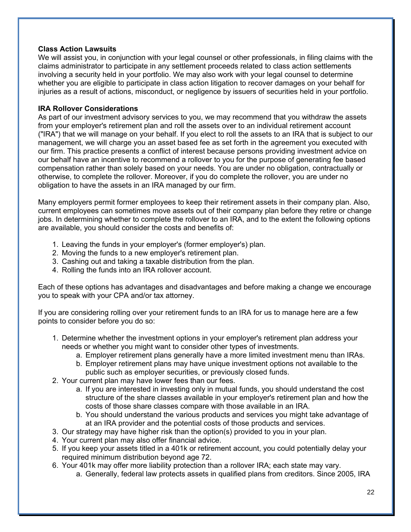## **Class Action Lawsuits**

We will assist you, in conjunction with your legal counsel or other professionals, in filing claims with the claims administrator to participate in any settlement proceeds related to class action settlements involving a security held in your portfolio. We may also work with your legal counsel to determine whether you are eligible to participate in class action litigation to recover damages on your behalf for injuries as a result of actions, misconduct, or negligence by issuers of securities held in your portfolio.

### **IRA Rollover Considerations**

As part of our investment advisory services to you, we may recommend that you withdraw the assets from your employer's retirement plan and roll the assets over to an individual retirement account ("IRA") that we will manage on your behalf. If you elect to roll the assets to an IRA that is subject to our management, we will charge you an asset based fee as set forth in the agreement you executed with our firm. This practice presents a conflict of interest because persons providing investment advice on our behalf have an incentive to recommend a rollover to you for the purpose of generating fee based compensation rather than solely based on your needs. You are under no obligation, contractually or otherwise, to complete the rollover. Moreover, if you do complete the rollover, you are under no obligation to have the assets in an IRA managed by our firm.

Many employers permit former employees to keep their retirement assets in their company plan. Also, current employees can sometimes move assets out of their company plan before they retire or change jobs. In determining whether to complete the rollover to an IRA, and to the extent the following options are available, you should consider the costs and benefits of:

- 1. Leaving the funds in your employer's (former employer's) plan.
- 2. Moving the funds to a new employer's retirement plan.
- 3. Cashing out and taking a taxable distribution from the plan.
- 4. Rolling the funds into an IRA rollover account.

Each of these options has advantages and disadvantages and before making a change we encourage you to speak with your CPA and/or tax attorney.

If you are considering rolling over your retirement funds to an IRA for us to manage here are a few points to consider before you do so:

- 1. Determine whether the investment options in your employer's retirement plan address your needs or whether you might want to consider other types of investments.
	- a. Employer retirement plans generally have a more limited investment menu than IRAs.
	- b. Employer retirement plans may have unique investment options not available to the public such as employer securities, or previously closed funds.
- 2. Your current plan may have lower fees than our fees.
	- a. If you are interested in investing only in mutual funds, you should understand the cost structure of the share classes available in your employer's retirement plan and how the costs of those share classes compare with those available in an IRA.
	- b. You should understand the various products and services you might take advantage of at an IRA provider and the potential costs of those products and services.
- 3. Our strategy may have higher risk than the option(s) provided to you in your plan.
- 4. Your current plan may also offer financial advice.
- 5. If you keep your assets titled in a 401k or retirement account, you could potentially delay your required minimum distribution beyond age 72.
- 6. Your 401k may offer more liability protection than a rollover IRA; each state may vary.
	- a. Generally, federal law protects assets in qualified plans from creditors. Since 2005, IRA